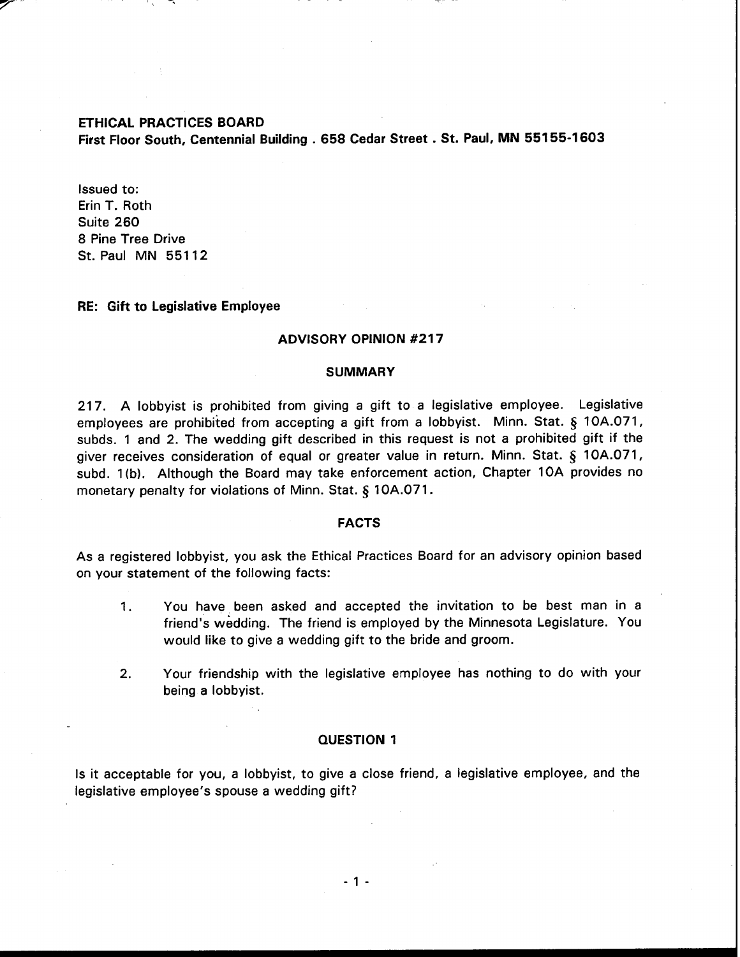# **ETHICAL PRACTICES BOARD**

**First Floor South, Centennial Building** . **658 Cedar Street** . **St. Paul, MN 551 55-1 603** 

Issued to: Erin T. Roth Suite 260 8 Pine Tree Drive St. Paul MN 551 12

# **RE: Gift to Legislative Employee**

## **ADVISORY OPINION #217**

## **SUMMARY**

217. A lobbyist is prohibited from giving a gift to a legislative employee. Legislative employees are prohibited from accepting a gift from a lobbyist. Minn. Stat. § 10A.071, subds. 1 and 2. The wedding gift described in this request is not a prohibited gift if the giver receives consideration of equal or greater value in return. Minn. Stat. *5* 10A.071, subd. I (b). Although the Board may take enforcement action, Chapter 10A provides no monetary penalty for violations of Minn. Stat. *5* 10A.071.

## **FACTS**

As a registered lobbyist, you ask the Ethical Practices Board for an advisory opinion based on your statement of the following facts:

- 1. You have been asked and accepted the invitation to be best man in a friend's wedding. The friend is employed by the Minnesota Legislature. You would like to give a wedding gift to the bride and groom.
- 2. Your friendship with the legislative employee has nothing to do with your being a lobbyist.

# **QUESTION 1**

Is it acceptable for you, a lobbyist, to give a close friend, a legislative employee, and the legislative employee's spouse a wedding gift?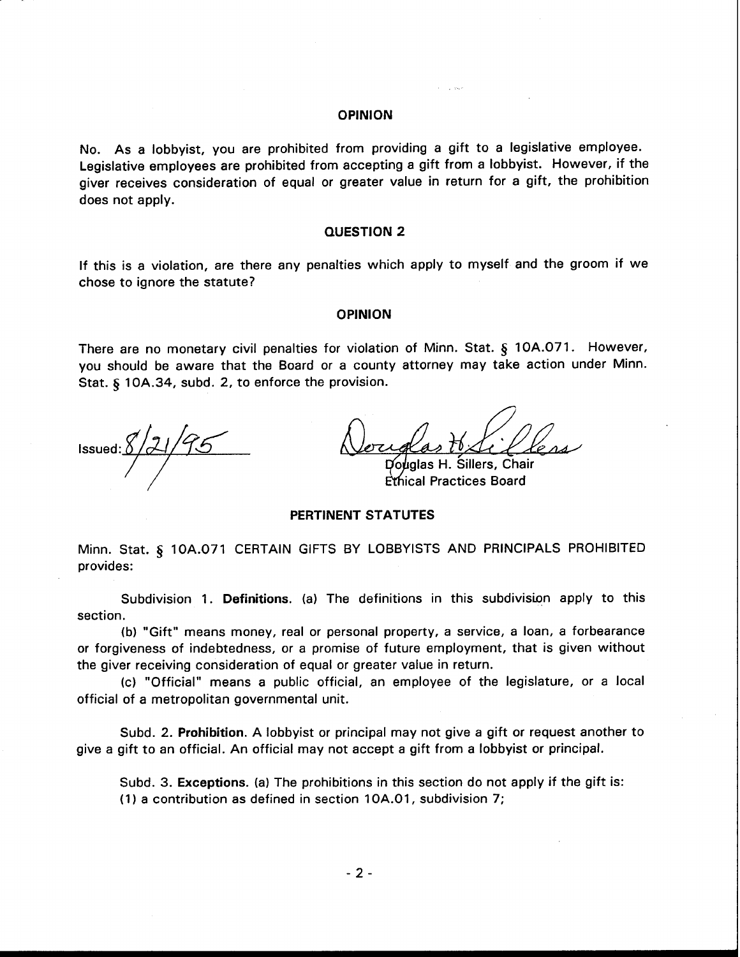# **OPINION**

No. As a lobbyist, you are prohibited from providing a gift to a legislative employee. Legislative employees are prohibited from accepting a gift from a lobbyist. However, if the giver receives consideration of equal or greater value in return for a gift, the prohibition does not apply.

#### **QUESTION 2**

If this is a violation, are there any penalties which apply to myself and the groom if we chose to ignore the statute?

### **OPINION**

There are no monetary civil penalties for violation of Minn. Stat. **tj** 10A.071. However, you should be aware that the Board or a county attorney may take action under Minn. Stat. § 10A.34, subd. 2, to enforce the provision.

E'rhical Practices Board

# **PERTINENT STATUTES**

Minn. Stat. § 10A.071 CERTAIN GIFTS BY LOBBYISTS AND PRINCIPALS PROHIBITED provides:

Subdivision 1. **Definitions.** (a) The definitions in this subdivision apply to this section.

(b) "Gift" means money, real or personal property, a service, a loan, a forbearance or forgiveness of indebtedness, or a promise of future employment, that is given without the giver receiving consideration of equal or greater value in return.

(c) "Official" means a public official, an employee of the legislature, or a local official of a metropolitan governmental unit.

Subd. 2. **Prohibition.** A lobbyist or principal may not give a gift or request another to give a gift to an official. An official may not accept a gift from a lobbyist or principal.

Subd. 3. **Exceptions.** (a) The prohibitions in this section do not apply if the gift is: (1) a contribution as defined in section 10A.01, subdivision 7;